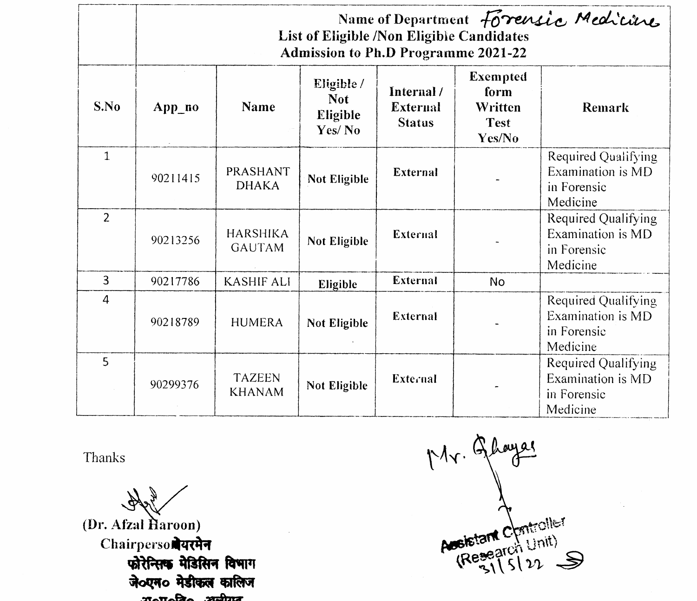|                | Name of Department Forensic Medicine<br>List of Eligible /Non Eligible Candidates<br><b>Admission to Ph.D Programme 2021-22</b> |                                  |                                                |                                                |                                                      |                                                                     |
|----------------|---------------------------------------------------------------------------------------------------------------------------------|----------------------------------|------------------------------------------------|------------------------------------------------|------------------------------------------------------|---------------------------------------------------------------------|
| S.No           | $App\_no$                                                                                                                       | <b>Name</b>                      | Eligible /<br><b>Not</b><br>Eligible<br>Yes/No | Internal /<br><b>External</b><br><b>Status</b> | Exempted<br>form<br>Written<br><b>Test</b><br>Yes/No | Remark                                                              |
| $\mathbf{1}$   | 90211415                                                                                                                        | PRASHANT<br><b>DHAKA</b>         | Not Eligible                                   | <b>External</b>                                |                                                      | Required Qualifying<br>Examination is MD<br>in Forensic<br>Medicine |
| $\overline{2}$ | 90213256                                                                                                                        | <b>HARSHIKA</b><br><b>GAUTAM</b> | Not Eligible                                   | External                                       |                                                      | Required Qualifying<br>Examination is MD<br>in Forensic<br>Medicine |
| 3              | 90217786                                                                                                                        | <b>KASHIF ALI</b>                | Eligible                                       | External                                       | No.                                                  |                                                                     |
| 4              | 90218789                                                                                                                        | <b>HUMERA</b>                    | Not Eligible                                   | External                                       |                                                      | Required Qualifying<br>Examination is MD<br>in Forensic<br>Medicine |
| 5              | 90299376                                                                                                                        | <b>TAZEEN</b><br><b>KHANAM</b>   | Not Eligible                                   | <b>External</b>                                |                                                      | Required Qualifying<br>Examination is MD<br>in Forensic<br>Medicine |

Thanks

Hote **(Dr. Afzal Haroon) Chairperson यरमेन फोरेन्सिक मेडिसिन विभाग**  $\frac{1}{2}$   $\frac{1}{2}$   $\frac{1}{2}$   $\frac{1}{2}$   $\frac{1}{2}$   $\frac{1}{2}$   $\frac{1}{2}$   $\frac{1}{2}$   $\frac{1}{2}$   $\frac{1}{2}$   $\frac{1}{2}$   $\frac{1}{2}$   $\frac{1}{2}$   $\frac{1}{2}$   $\frac{1}{2}$   $\frac{1}{2}$   $\frac{1}{2}$   $\frac{1}{2}$   $\frac{1}{2}$   $\frac{1}{2}$   $\frac{1}{2}$   $\frac{1}{2}$ 

Mr. Ghayas